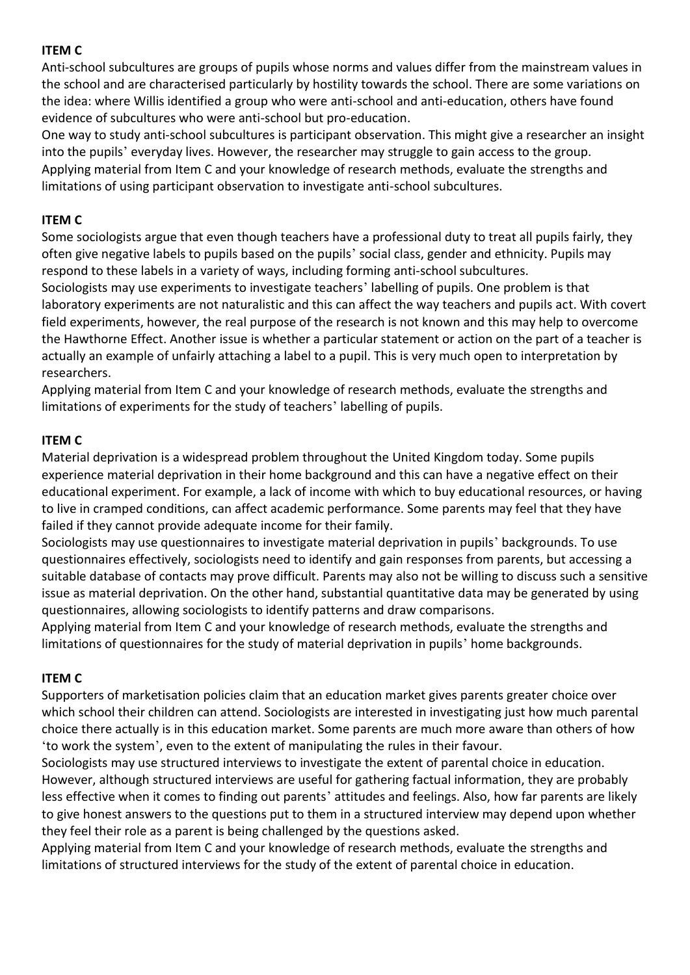### **ITEM C**

Anti-school subcultures are groups of pupils whose norms and values differ from the mainstream values in the school and are characterised particularly by hostility towards the school. There are some variations on the idea: where Willis identified a group who were anti-school and anti-education, others have found evidence of subcultures who were anti-school but pro-education.

One way to study anti-school subcultures is participant observation. This might give a researcher an insight into the pupils' everyday lives. However, the researcher may struggle to gain access to the group. Applying material from Item C and your knowledge of research methods, evaluate the strengths and limitations of using participant observation to investigate anti-school subcultures.

## **ITEM C**

Some sociologists argue that even though teachers have a professional duty to treat all pupils fairly, they often give negative labels to pupils based on the pupils' social class, gender and ethnicity. Pupils may respond to these labels in a variety of ways, including forming anti-school subcultures.

Sociologists may use experiments to investigate teachers' labelling of pupils. One problem is that laboratory experiments are not naturalistic and this can affect the way teachers and pupils act. With covert field experiments, however, the real purpose of the research is not known and this may help to overcome the Hawthorne Effect. Another issue is whether a particular statement or action on the part of a teacher is actually an example of unfairly attaching a label to a pupil. This is very much open to interpretation by researchers.

Applying material from Item C and your knowledge of research methods, evaluate the strengths and limitations of experiments for the study of teachers' labelling of pupils.

## **ITEM C**

Material deprivation is a widespread problem throughout the United Kingdom today. Some pupils experience material deprivation in their home background and this can have a negative effect on their educational experiment. For example, a lack of income with which to buy educational resources, or having to live in cramped conditions, can affect academic performance. Some parents may feel that they have failed if they cannot provide adequate income for their family.

Sociologists may use questionnaires to investigate material deprivation in pupils' backgrounds. To use questionnaires effectively, sociologists need to identify and gain responses from parents, but accessing a suitable database of contacts may prove difficult. Parents may also not be willing to discuss such a sensitive issue as material deprivation. On the other hand, substantial quantitative data may be generated by using questionnaires, allowing sociologists to identify patterns and draw comparisons.

Applying material from Item C and your knowledge of research methods, evaluate the strengths and limitations of questionnaires for the study of material deprivation in pupils' home backgrounds.

# **ITEM C**

Supporters of marketisation policies claim that an education market gives parents greater choice over which school their children can attend. Sociologists are interested in investigating just how much parental choice there actually is in this education market. Some parents are much more aware than others of how 'to work the system', even to the extent of manipulating the rules in their favour.

Sociologists may use structured interviews to investigate the extent of parental choice in education. However, although structured interviews are useful for gathering factual information, they are probably less effective when it comes to finding out parents' attitudes and feelings. Also, how far parents are likely to give honest answers to the questions put to them in a structured interview may depend upon whether they feel their role as a parent is being challenged by the questions asked.

Applying material from Item C and your knowledge of research methods, evaluate the strengths and limitations of structured interviews for the study of the extent of parental choice in education.